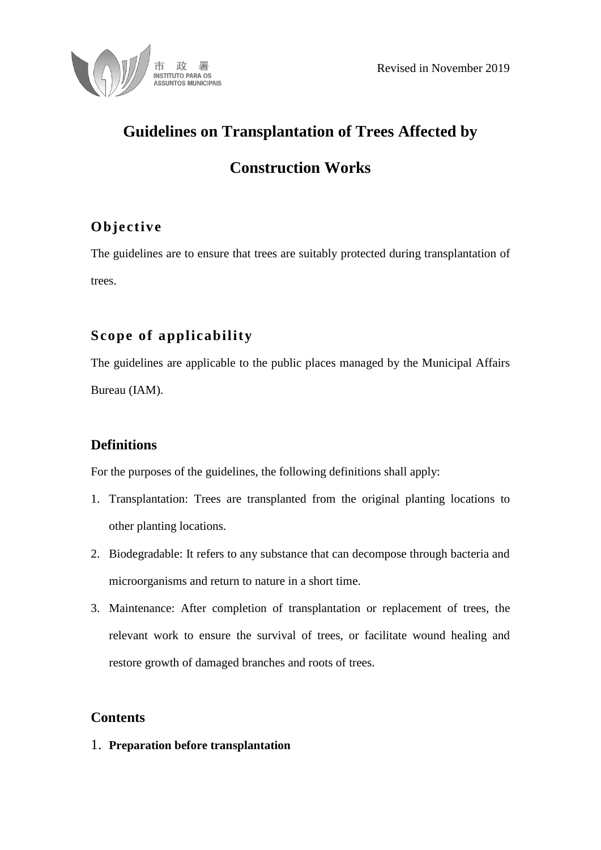

# **Guidelines on Transplantation of Trees Affected by**

## **Construction Works**

### **Objective**

The guidelines are to ensure that trees are suitably protected during transplantation of trees.

### **Scope of applicability**

The guidelines are applicable to the public places managed by the Municipal Affairs Bureau (IAM).

### **Definitions**

For the purposes of the guidelines, the following definitions shall apply:

- 1. Transplantation: Trees are transplanted from the original planting locations to other planting locations.
- 2. Biodegradable: It refers to any substance that can decompose through bacteria and microorganisms and return to nature in a short time.
- 3. Maintenance: After completion of transplantation or replacement of trees, the relevant work to ensure the survival of trees, or facilitate wound healing and restore growth of damaged branches and roots of trees.

### **Contents**

1. **Preparation before transplantation**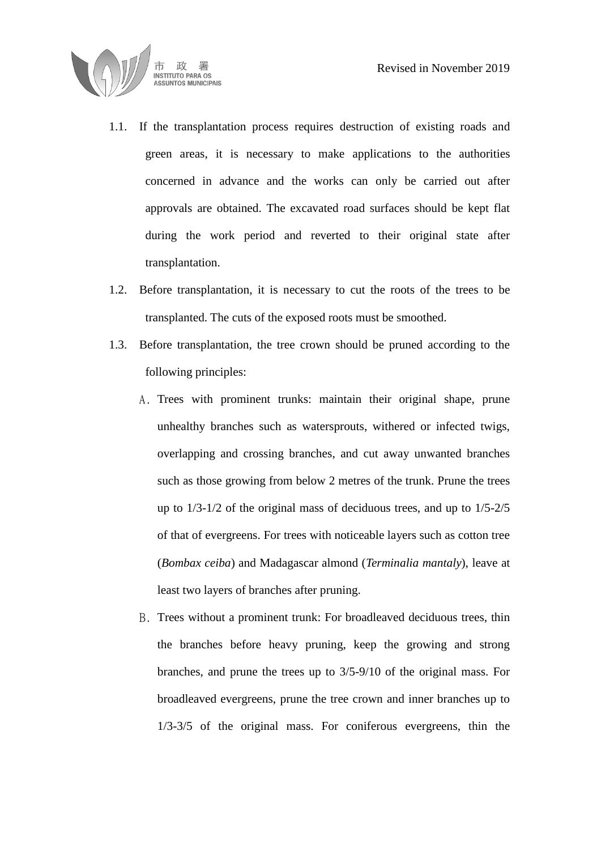

- 1.1. If the transplantation process requires destruction of existing roads and green areas, it is necessary to make applications to the authorities concerned in advance and the works can only be carried out after approvals are obtained. The excavated road surfaces should be kept flat during the work period and reverted to their original state after transplantation.
- 1.2. Before transplantation, it is necessary to cut the roots of the trees to be transplanted. The cuts of the exposed roots must be smoothed.
- 1.3. Before transplantation, the tree crown should be pruned according to the following principles:
	- A. Trees with prominent trunks: maintain their original shape, prune unhealthy branches such as watersprouts, withered or infected twigs, overlapping and crossing branches, and cut away unwanted branches such as those growing from below 2 metres of the trunk. Prune the trees up to 1/3-1/2 of the original mass of deciduous trees, and up to 1/5-2/5 of that of evergreens. For trees with noticeable layers such as cotton tree (*Bombax ceiba*) and Madagascar almond (*Terminalia mantaly*), leave at least two layers of branches after pruning.
	- B. Trees without a prominent trunk: For broadleaved deciduous trees, thin the branches before heavy pruning, keep the growing and strong branches, and prune the trees up to 3/5-9/10 of the original mass. For broadleaved evergreens, prune the tree crown and inner branches up to 1/3-3/5 of the original mass. For coniferous evergreens, thin the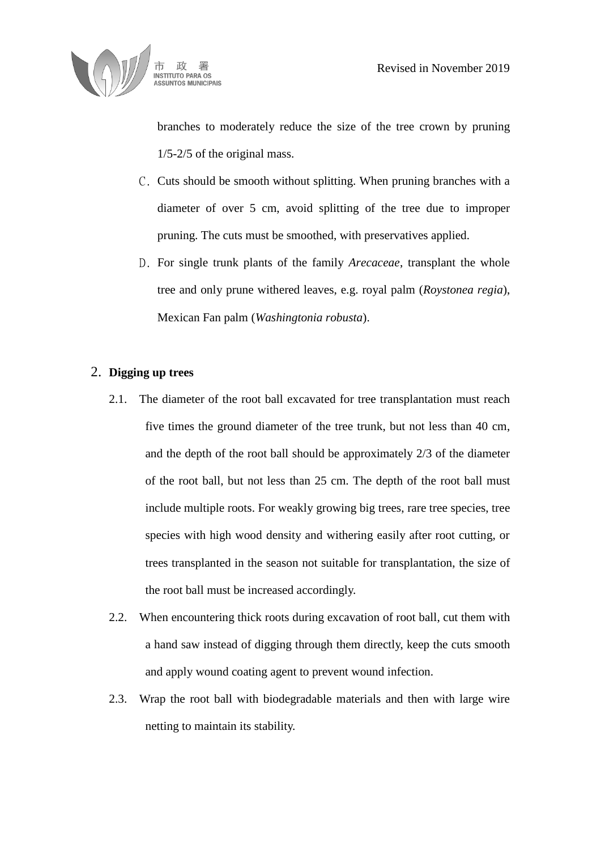

branches to moderately reduce the size of the tree crown by pruning 1/5-2/5 of the original mass.

- C. Cuts should be smooth without splitting. When pruning branches with a diameter of over 5 cm, avoid splitting of the tree due to improper pruning. The cuts must be smoothed, with preservatives applied.
- D. For single trunk plants of the family *Arecaceae*, transplant the whole tree and only prune withered leaves, e.g. royal palm (*Roystonea regia*), Mexican Fan palm (*Washingtonia robusta*).

#### 2. **Digging up trees**

- 2.1. The diameter of the root ball excavated for tree transplantation must reach five times the ground diameter of the tree trunk, but not less than 40 cm, and the depth of the root ball should be approximately 2/3 of the diameter of the root ball, but not less than 25 cm. The depth of the root ball must include multiple roots. For weakly growing big trees, rare tree species, tree species with high wood density and withering easily after root cutting, or trees transplanted in the season not suitable for transplantation, the size of the root ball must be increased accordingly.
- 2.2. When encountering thick roots during excavation of root ball, cut them with a hand saw instead of digging through them directly, keep the cuts smooth and apply wound coating agent to prevent wound infection.
- 2.3. Wrap the root ball with biodegradable materials and then with large wire netting to maintain its stability.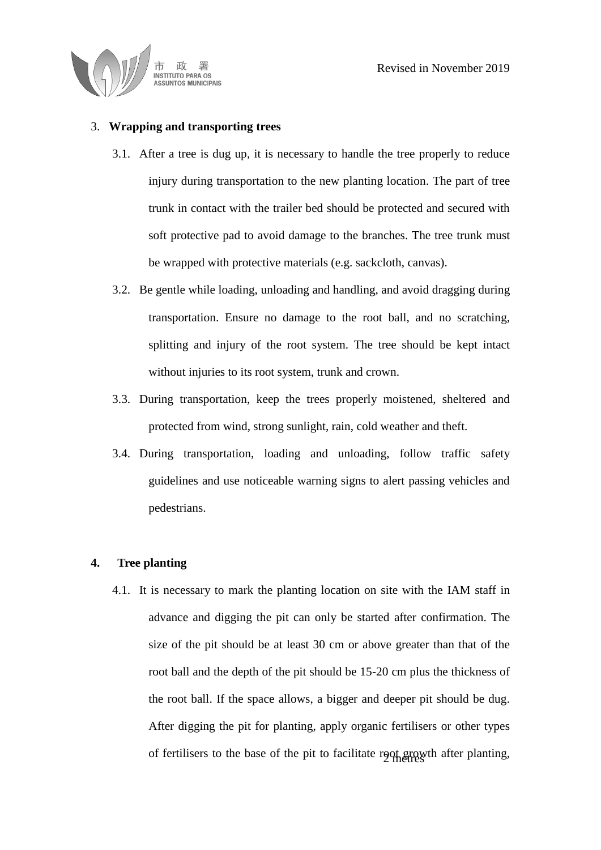

#### 3. **Wrapping and transporting trees**

- 3.1. After a tree is dug up, it is necessary to handle the tree properly to reduce injury during transportation to the new planting location. The part of tree trunk in contact with the trailer bed should be protected and secured with soft protective pad to avoid damage to the branches. The tree trunk must be wrapped with protective materials (e.g. sackcloth, canvas).
- 3.2. Be gentle while loading, unloading and handling, and avoid dragging during transportation. Ensure no damage to the root ball, and no scratching, splitting and injury of the root system. The tree should be kept intact without injuries to its root system, trunk and crown.
- 3.3. During transportation, keep the trees properly moistened, sheltered and protected from wind, strong sunlight, rain, cold weather and theft.
- 3.4. During transportation, loading and unloading, follow traffic safety guidelines and use noticeable warning signs to alert passing vehicles and pedestrians.

#### **4. Tree planting**

4.1. It is necessary to mark the planting location on site with the IAM staff in advance and digging the pit can only be started after confirmation. The size of the pit should be at least 30 cm or above greater than that of the root ball and the depth of the pit should be 15-20 cm plus the thickness of the root ball. If the space allows, a bigger and deeper pit should be dug. After digging the pit for planting, apply organic fertilisers or other types of fertilisers to the base of the pit to facilitate root growth after planting,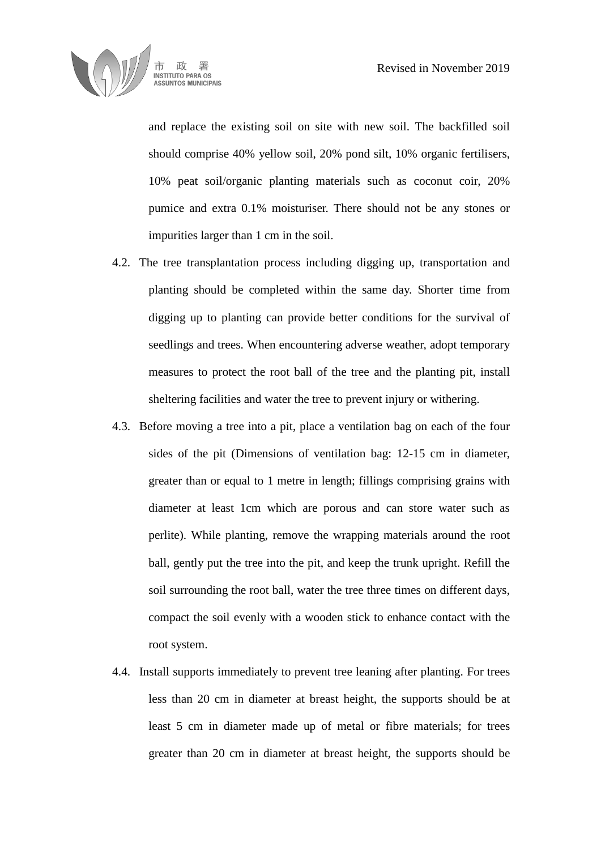

and replace the existing soil on site with new soil. The backfilled soil should comprise 40% yellow soil, 20% pond silt, 10% organic fertilisers, 10% peat soil/organic planting materials such as coconut coir, 20% pumice and extra 0.1% moisturiser. There should not be any stones or impurities larger than 1 cm in the soil.

- 4.2. The tree transplantation process including digging up, transportation and planting should be completed within the same day. Shorter time from digging up to planting can provide better conditions for the survival of seedlings and trees. When encountering adverse weather, adopt temporary measures to protect the root ball of the tree and the planting pit, install sheltering facilities and water the tree to prevent injury or withering.
- 4.3. Before moving a tree into a pit, place a ventilation bag on each of the four sides of the pit (Dimensions of ventilation bag: 12-15 cm in diameter, greater than or equal to 1 metre in length; fillings comprising grains with diameter at least 1cm which are porous and can store water such as perlite). While planting, remove the wrapping materials around the root ball, gently put the tree into the pit, and keep the trunk upright. Refill the soil surrounding the root ball, water the tree three times on different days, compact the soil evenly with a wooden stick to enhance contact with the root system.
- 4.4. Install supports immediately to prevent tree leaning after planting. For trees less than 20 cm in diameter at breast height, the supports should be at least 5 cm in diameter made up of metal or fibre materials; for trees greater than 20 cm in diameter at breast height, the supports should be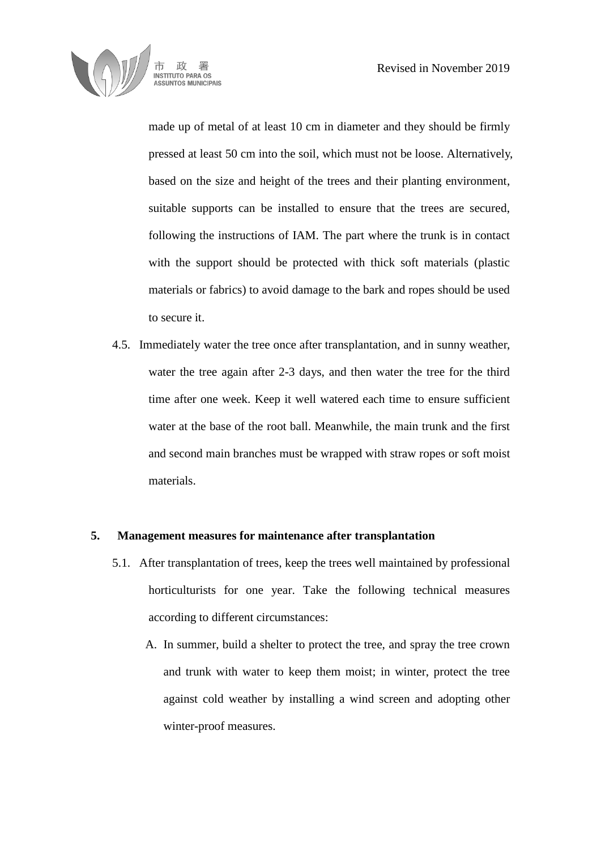

made up of metal of at least 10 cm in diameter and they should be firmly pressed at least 50 cm into the soil, which must not be loose. Alternatively, based on the size and height of the trees and their planting environment, suitable supports can be installed to ensure that the trees are secured, following the instructions of IAM. The part where the trunk is in contact with the support should be protected with thick soft materials (plastic materials or fabrics) to avoid damage to the bark and ropes should be used to secure it.

4.5. Immediately water the tree once after transplantation, and in sunny weather, water the tree again after 2-3 days, and then water the tree for the third time after one week. Keep it well watered each time to ensure sufficient water at the base of the root ball. Meanwhile, the main trunk and the first and second main branches must be wrapped with straw ropes or soft moist materials.

#### **5. Management measures for maintenance after transplantation**

- 5.1. After transplantation of trees, keep the trees well maintained by professional horticulturists for one year. Take the following technical measures according to different circumstances:
	- A. In summer, build a shelter to protect the tree, and spray the tree crown and trunk with water to keep them moist; in winter, protect the tree against cold weather by installing a wind screen and adopting other winter-proof measures.